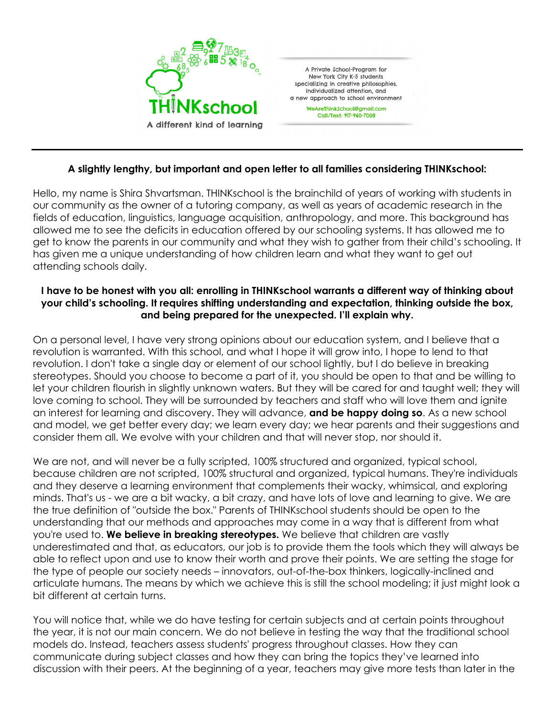

## **A slightly lengthy, but important and open letter to all families considering THINKschool:**

Hello, my name is Shira Shvartsman. THINKschool is the brainchild of years of working with students in our community as the owner of a tutoring company, as well as years of academic research in the fields of education, linguistics, language acquisition, anthropology, and more. This background has allowed me to see the deficits in education offered by our schooling systems. It has allowed me to get to know the parents in our community and what they wish to gather from their child's schooling. It has given me a unique understanding of how children learn and what they want to get out attending schools daily.

## **I have to be honest with you all: enrolling in THINKschool warrants a different way of thinking about your child's schooling. It requires shifting understanding and expectation, thinking outside the box, and being prepared for the unexpected. I'll explain why.**

On a personal level, I have very strong opinions about our education system, and I believe that a revolution is warranted. With this school, and what I hope it will grow into, I hope to lend to that revolution. I don't take a single day or element of our school lightly, but I do believe in breaking stereotypes. Should you choose to become a part of it, you should be open to that and be willing to let your children flourish in slightly unknown waters. But they will be cared for and taught well; they will love coming to school. They will be surrounded by teachers and staff who will love them and ignite an interest for learning and discovery. They will advance, **and be happy doing so**. As a new school and model, we get better every day; we learn every day; we hear parents and their suggestions and consider them all. We evolve with your children and that will never stop, nor should it.

We are not, and will never be a fully scripted, 100% structured and organized, typical school, because children are not scripted, 100% structural and organized, typical humans. They're individuals and they deserve a learning environment that complements their wacky, whimsical, and exploring minds. That's us - we are a bit wacky, a bit crazy, and have lots of love and learning to give. We are the true definition of "outside the box." Parents of THINKschool students should be open to the understanding that our methods and approaches may come in a way that is different from what you're used to. **We believe in breaking stereotypes.** We believe that children are vastly underestimated and that, as educators, our job is to provide them the tools which they will always be able to reflect upon and use to know their worth and prove their points. We are setting the stage for the type of people our society needs – innovators, out-of-the-box thinkers, logically-inclined and articulate humans. The means by which we achieve this is still the school modeling; it just might look a bit different at certain turns.

You will notice that, while we do have testing for certain subjects and at certain points throughout the year, it is not our main concern. We do not believe in testing the way that the traditional school models do. Instead, teachers assess students' progress throughout classes. How they can communicate during subject classes and how they can bring the topics they've learned into discussion with their peers. At the beginning of a year, teachers may give more tests than later in the